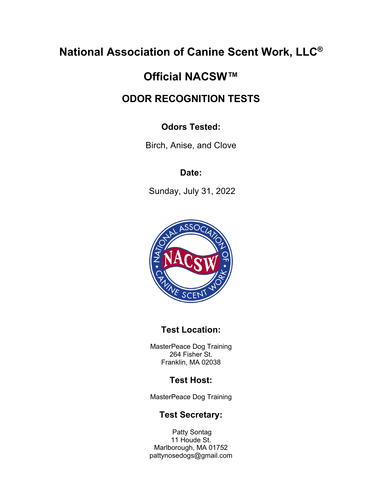# **National Association of Canine Scent Work, LLC®**

# **Official NACSW™**

# **ODOR RECOGNITION TESTS**

## **Odors Tested:**

Birch, Anise, and Clove

## **Date:**

Sunday, July 31, 2022



## **Test Location:**

MasterPeace Dog Training 264 Fisher St. Franklin, MA 02038

## **Test Host:**

MasterPeace Dog Training

## **Test Secretary:**

Patty Sontag 11 Houde St. Marlborough, MA 01752 pattynosedogs@gmail.com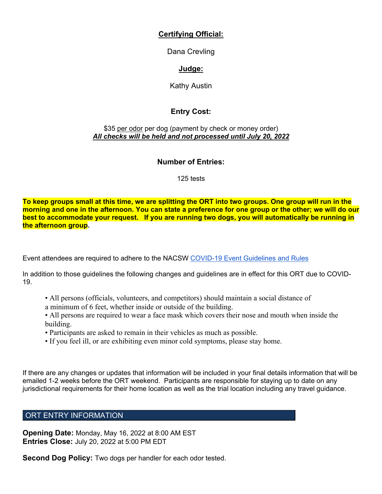## **Certifying Official:**

Dana Crevling

## **Judge:**

Kathy Austin

## **Entry Cost:**

#### \$35 per odor per dog (payment by check or money order) *All checks will be held and not processed until July 20, 2022*

## **Number of Entries:**

125 tests

**To keep groups small at this time, we are splitting the ORT into two groups. One group will run in the morning and one in the afternoon. You can state a preference for one group or the other; we will do our best to accommodate your request. If you are running two dogs, you will automatically be running in the afternoon group.**

Event attendees are required to adhere to the NACSW COVID-19 Event Guidelines and Rules

In addition to those guidelines the following changes and guidelines are in effect for this ORT due to COVID-19.

- All persons (officials, volunteers, and competitors) should maintain a social distance of a minimum of 6 feet, whether inside or outside of the building.
- All persons are required to wear a face mask which covers their nose and mouth when inside the building.
- Participants are asked to remain in their vehicles as much as possible.
- If you feel ill, or are exhibiting even minor cold symptoms, please stay home.

If there are any changes or updates that information will be included in your final details information that will be emailed 1-2 weeks before the ORT weekend. Participants are responsible for staying up to date on any jurisdictional requirements for their home location as well as the trial location including any travel guidance.

## ORT ENTRY INFORMATION

**Opening Date:** Monday, May 16, 2022 at 8:00 AM EST **Entries Close:** July 20, 2022 at 5:00 PM EDT

**Second Dog Policy:** Two dogs per handler for each odor tested.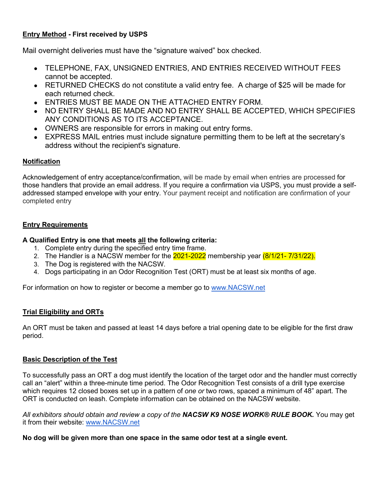### **Entry Method - First received by USPS**

Mail overnight deliveries must have the "signature waived" box checked.

- TELEPHONE, FAX, UNSIGNED ENTRIES, AND ENTRIES RECEIVED WITHOUT FEES cannot be accepted.
- RETURNED CHECKS do not constitute a valid entry fee. A charge of \$25 will be made for each returned check.
- **ENTRIES MUST BE MADE ON THE ATTACHED ENTRY FORM.**
- NO ENTRY SHALL BE MADE AND NO ENTRY SHALL BE ACCEPTED. WHICH SPECIFIES ANY CONDITIONS AS TO ITS ACCEPTANCE.
- OWNERS are responsible for errors in making out entry forms.
- EXPRESS MAIL entries must include signature permitting them to be left at the secretary's address without the recipient's signature.

#### **Notification**

Acknowledgement of entry acceptance/confirmation, will be made by email when entries are processed for those handlers that provide an email address. If you require a confirmation via USPS, you must provide a selfaddressed stamped envelope with your entry. Your payment receipt and notification are confirmation of your completed entry

#### **Entry Requirements**

#### **A Qualified Entry is one that meets all the following criteria:**

- 1. Complete entry during the specified entry time frame.
- 2. The Handler is a NACSW member for the 2021-2022 membership year (8/1/21- 7/31/22).
- 3. The Dog is registered with the NACSW.
- 4. Dogs participating in an Odor Recognition Test (ORT) must be at least six months of age.

For information on how to register or become a member go to www.NACSW.net

#### **Trial Eligibility and ORTs**

An ORT must be taken and passed at least 14 days before a trial opening date to be eligible for the first draw period.

#### **Basic Description of the Test**

To successfully pass an ORT a dog must identify the location of the target odor and the handler must correctly call an "alert" within a three-minute time period. The Odor Recognition Test consists of a drill type exercise which requires 12 closed boxes set up in a pattern of *one or* two rows, spaced a minimum of 48" apart. The ORT is conducted on leash. Complete information can be obtained on the NACSW website.

*All exhibitors should obtain and review a copy of the NACSW K9 NOSE WORK® RULE BOOK.* You may get it from their website: www.NACSW.net

#### **No dog will be given more than one space in the same odor test at a single event.**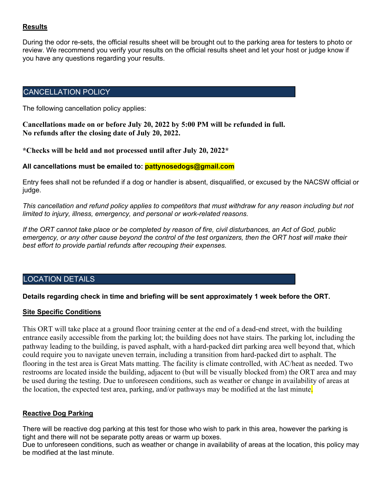#### **Results**

During the odor re-sets, the official results sheet will be brought out to the parking area for testers to photo or review. We recommend you verify your results on the official results sheet and let your host or judge know if you have any questions regarding your results.

#### CANCELLATION POLICY

The following cancellation policy applies:

**Cancellations made on or before July 20, 2022 by 5:00 PM will be refunded in full. No refunds after the closing date of July 20, 2022.**

**\*Checks will be held and not processed until after July 20, 2022\***

#### **All cancellations must be emailed to: pattynosedogs@gmail.com**

Entry fees shall not be refunded if a dog or handler is absent, disqualified, or excused by the NACSW official or judge.

*This cancellation and refund policy applies to competitors that must withdraw for any reason including but not limited to injury, illness, emergency, and personal or work-related reasons.*

*If the ORT cannot take place or be completed by reason of fire, civil disturbances, an Act of God, public emergency, or any other cause beyond the control of the test organizers, then the ORT host will make their best effort to provide partial refunds after recouping their expenses.*

#### LOCATION DETAILS

#### **Details regarding check in time and briefing will be sent approximately 1 week before the ORT.**

#### **Site Specific Conditions**

This ORT will take place at a ground floor training center at the end of a dead-end street, with the building entrance easily accessible from the parking lot; the building does not have stairs. The parking lot, including the pathway leading to the building, is paved asphalt, with a hard-packed dirt parking area well beyond that, which could require you to navigate uneven terrain, including a transition from hard-packed dirt to asphalt. The flooring in the test area is Great Mats matting. The facility is climate controlled, with AC/heat as needed. Two restrooms are located inside the building, adjacent to (but will be visually blocked from) the ORT area and may be used during the testing. Due to unforeseen conditions, such as weather or change in availability of areas at the location, the expected test area, parking, and/or pathways may be modified at the last minute.

#### **Reactive Dog Parking**

There will be reactive dog parking at this test for those who wish to park in this area, however the parking is tight and there will not be separate potty areas or warm up boxes.

Due to unforeseen conditions, such as weather or change in availability of areas at the location, this policy may be modified at the last minute.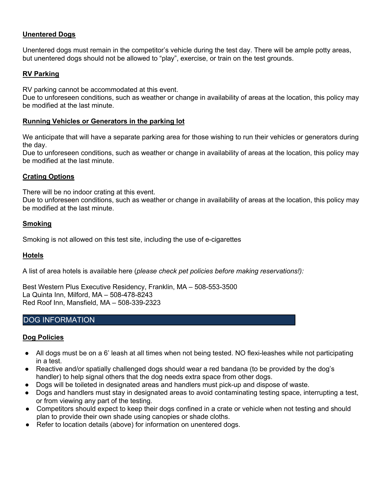#### **Unentered Dogs**

Unentered dogs must remain in the competitor's vehicle during the test day. There will be ample potty areas, but unentered dogs should not be allowed to "play", exercise, or train on the test grounds.

#### **RV Parking**

RV parking cannot be accommodated at this event.

Due to unforeseen conditions, such as weather or change in availability of areas at the location, this policy may be modified at the last minute.

#### **Running Vehicles or Generators in the parking lot**

We anticipate that will have a separate parking area for those wishing to run their vehicles or generators during the day.

Due to unforeseen conditions, such as weather or change in availability of areas at the location, this policy may be modified at the last minute.

#### **Crating Options**

There will be no indoor crating at this event.

Due to unforeseen conditions, such as weather or change in availability of areas at the location, this policy may be modified at the last minute.

#### **Smoking**

Smoking is not allowed on this test site, including the use of e-cigarettes

#### **Hotels**

A list of area hotels is available here (*please check pet policies before making reservations!):*

Best Western Plus Executive Residency, Franklin, MA – 508-553-3500 La Quinta Inn, Milford, MA – 508-478-8243 Red Roof Inn, Mansfield, MA – 508-339-2323

### DOG INFORMATION

#### **Dog Policies**

- All dogs must be on a 6' leash at all times when not being tested. NO flexi-leashes while not participating in a test.
- Reactive and/or spatially challenged dogs should wear a red bandana (to be provided by the dog's handler) to help signal others that the dog needs extra space from other dogs.
- Dogs will be toileted in designated areas and handlers must pick-up and dispose of waste.
- Dogs and handlers must stay in designated areas to avoid contaminating testing space, interrupting a test, or from viewing any part of the testing.
- Competitors should expect to keep their dogs confined in a crate or vehicle when not testing and should plan to provide their own shade using canopies or shade cloths.
- Refer to location details (above) for information on unentered dogs.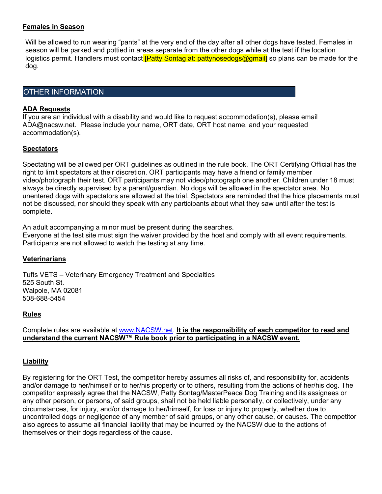#### **Females in Season**

Will be allowed to run wearing "pants" at the very end of the day after all other dogs have tested. Females in season will be parked and pottied in areas separate from the other dogs while at the test if the location logistics permit. Handlers must contact *[Patty Sontag at: pattynosedogs@gmail]* so plans can be made for the dog.

#### OTHER INFORMATION

#### **ADA Requests**

If you are an individual with a disability and would like to request accommodation(s), please email ADA@nacsw.net. Please include your name, ORT date, ORT host name, and your requested accommodation(s).

#### **Spectators**

Spectating will be allowed per ORT guidelines as outlined in the rule book. The ORT Certifying Official has the right to limit spectators at their discretion. ORT participants may have a friend or family member video/photograph their test. ORT participants may not video/photograph one another. Children under 18 must always be directly supervised by a parent/guardian. No dogs will be allowed in the spectator area. No unentered dogs with spectators are allowed at the trial. Spectators are reminded that the hide placements must not be discussed, nor should they speak with any participants about what they saw until after the test is complete.

An adult accompanying a minor must be present during the searches.

Everyone at the test site must sign the waiver provided by the host and comply with all event requirements. Participants are not allowed to watch the testing at any time.

#### **Veterinarians**

Tufts VETS – Veterinary Emergency Treatment and Specialties 525 South St. Walpole, MA 02081 508-688-5454

#### **Rules**

Complete rules are available at www.NACSW.net. **It is the responsibility of each competitor to read and understand the current NACSW™ Rule book prior to participating in a NACSW event.**

#### **Liability**

By registering for the ORT Test, the competitor hereby assumes all risks of, and responsibility for, accidents and/or damage to her/himself or to her/his property or to others, resulting from the actions of her/his dog. The competitor expressly agree that the NACSW, Patty Sontag/MasterPeace Dog Training and its assignees or any other person, or persons, of said groups, shall not be held liable personally, or collectively, under any circumstances, for injury, and/or damage to her/himself, for loss or injury to property, whether due to uncontrolled dogs or negligence of any member of said groups, or any other cause, or causes. The competitor also agrees to assume all financial liability that may be incurred by the NACSW due to the actions of themselves or their dogs regardless of the cause.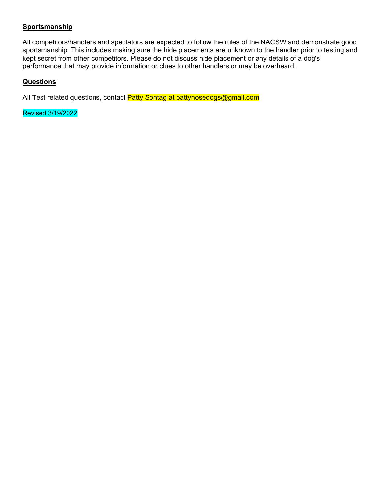#### **Sportsmanship**

All competitors/handlers and spectators are expected to follow the rules of the NACSW and demonstrate good sportsmanship. This includes making sure the hide placements are unknown to the handler prior to testing and kept secret from other competitors. Please do not discuss hide placement or any details of a dog's performance that may provide information or clues to other handlers or may be overheard.

#### **Questions**

All Test related questions, contact Patty Sontag at pattynosedogs@gmail.com

Revised 3/19/2022